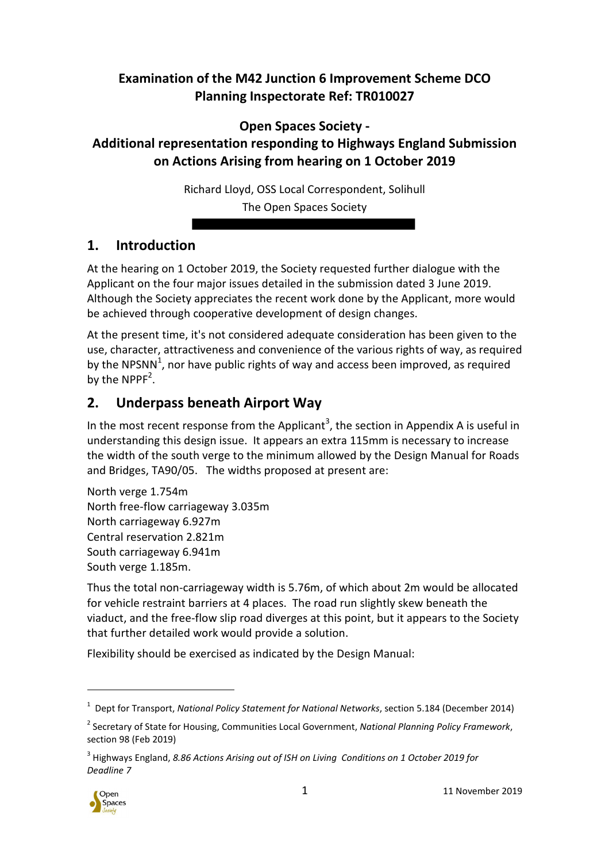#### **Examination of the M42 Junction 6 Improvement Scheme DCO Planning Inspectorate Ref: TR010027**

**Open Spaces Society -** 

# **Additional representation responding to Highways England Submission on Actions Arising from hearing on 1 October 2019**

Richard Lloyd, OSS Local Correspondent, Solihull The Open Spaces Society

# **1. Introduction**

At the hearing on 1 October 2019, the Society requested further dialogue with the Applicant on the four major issues detailed in the submission dated 3 June 2019. Although the Society appreciates the recent work done by the Applicant, more would be achieved through cooperative development of design changes.

At the present time, it's not considered adequate consideration has been given to the use, character, attractiveness and convenience of the various rights of way, as required by the NPSNN<sup>1</sup>, nor have public rights of way and access been improved, as required by the NPPF<sup>2</sup>.

## **2. Underpass beneath Airport Way**

In the most recent response from the Applicant<sup>3</sup>, the section in Appendix A is useful in understanding this design issue. It appears an extra 115mm is necessary to increase the width of the south verge to the minimum allowed by the Design Manual for Roads and Bridges, TA90/05. The widths proposed at present are:

North verge 1.754m North free-flow carriageway 3.035m North carriageway 6.927m Central reservation 2.821m South carriageway 6.941m South verge 1.185m.

Thus the total non-carriageway width is 5.76m, of which about 2m would be allocated for vehicle restraint barriers at 4 places. The road run slightly skew beneath the viaduct, and the free-flow slip road diverges at this point, but it appears to the Society that further detailed work would provide a solution.

Flexibility should be exercised as indicated by the Design Manual:

<sup>&</sup>lt;sup>3</sup> Highways England, 8.86 Actions Arising out of ISH on Living Conditions on 1 October 2019 for *Deadline 7*



j

<sup>1</sup> Dept for Transport, *National Policy Statement for National Networks*, section 5.184 (December 2014)

<sup>2</sup> Secretary of State for Housing, Communities Local Government, *National Planning Policy Framework*, section 98 (Feb 2019)